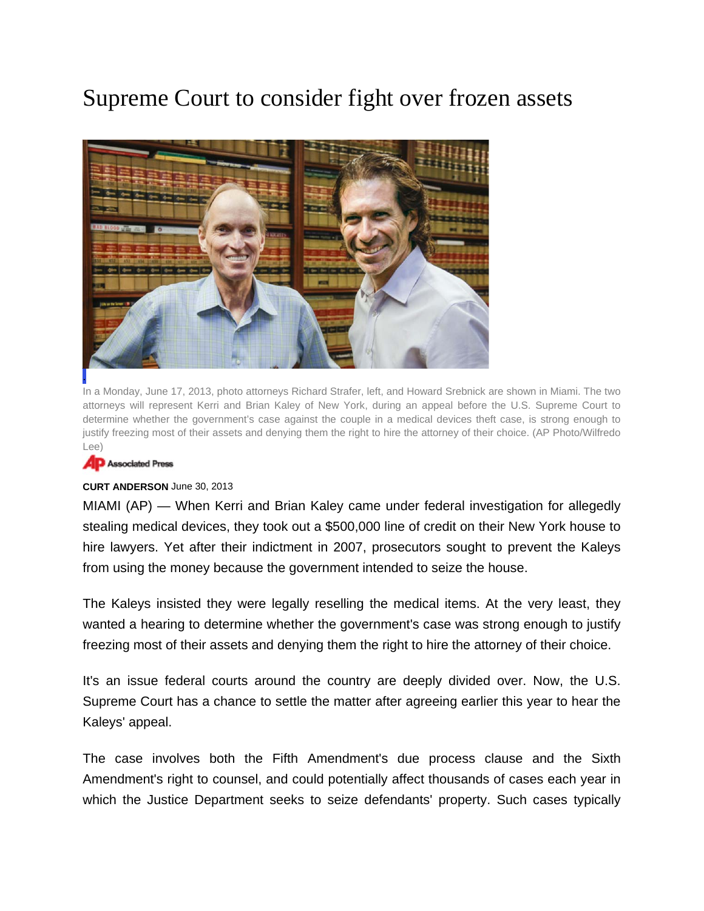## Supreme Court to consider fight over frozen assets



In a Monday, June 17, 2013, photo attorneys Richard Strafer, left, and Howard Srebnick are shown in Miami. The two attorneys will represent Kerri and Brian Kaley of New York, during an appeal before the U.S. Supreme Court to determine whether the government's case against the couple in a medical devices theft case, is strong enough to justify freezing most of their assets and denying them the right to hire the attorney of their choice. (AP Photo/Wilfredo Lee)

## **AB** Associated Press

## **CURT ANDERSON** June 30, 2013

MIAMI (AP) — When Kerri and Brian Kaley came under federal investigation for allegedly stealing medical devices, they took out a \$500,000 line of credit on their New York house to hire lawyers. Yet after their indictment in 2007, prosecutors sought to prevent the Kaleys from using the money because the government intended to seize the house.

The Kaleys insisted they were legally reselling the medical items. At the very least, they wanted a hearing to determine whether the government's case was strong enough to justify freezing most of their assets and denying them the right to hire the attorney of their choice.

It's an issue federal courts around the country are deeply divided over. Now, the U.S. Supreme Court has a chance to settle the matter after agreeing earlier this year to hear the Kaleys' appeal.

The case involves both the Fifth Amendment's due process clause and the Sixth Amendment's right to counsel, and could potentially affect thousands of cases each year in which the Justice Department seeks to seize defendants' property. Such cases typically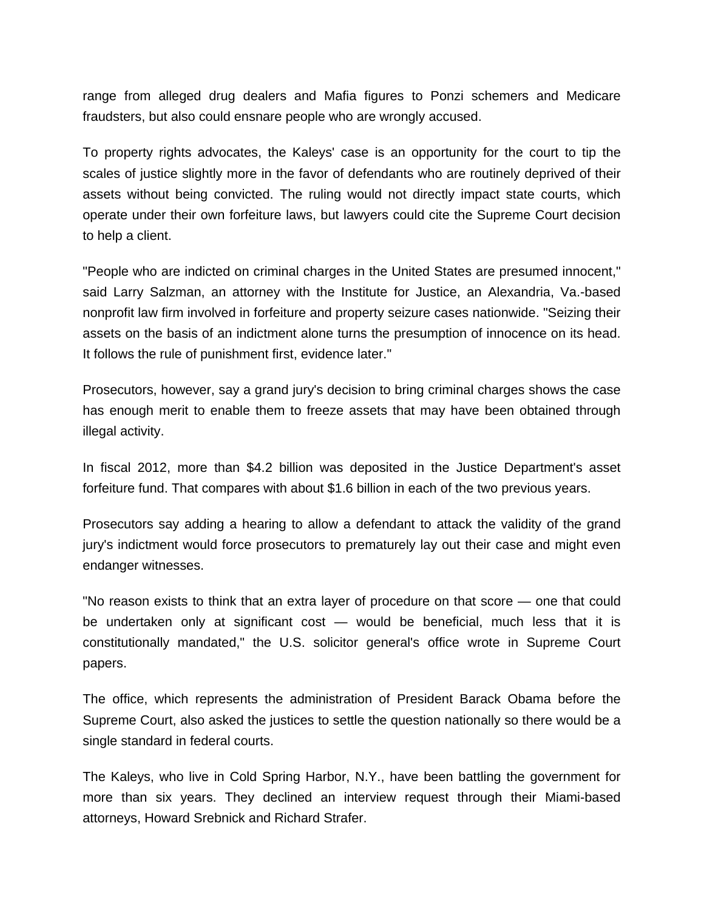range from alleged drug dealers and Mafia figures to Ponzi schemers and Medicare fraudsters, but also could ensnare people who are wrongly accused.

To property rights advocates, the Kaleys' case is an opportunity for the court to tip the scales of justice slightly more in the favor of defendants who are routinely deprived of their assets without being convicted. The ruling would not directly impact state courts, which operate under their own forfeiture laws, but lawyers could cite the Supreme Court decision to help a client.

"People who are indicted on criminal charges in the United States are presumed innocent," said Larry Salzman, an attorney with the Institute for Justice, an Alexandria, Va.-based nonprofit law firm involved in forfeiture and property seizure cases nationwide. "Seizing their assets on the basis of an indictment alone turns the presumption of innocence on its head. It follows the rule of punishment first, evidence later."

Prosecutors, however, say a grand jury's decision to bring criminal charges shows the case has enough merit to enable them to freeze assets that may have been obtained through illegal activity.

In fiscal 2012, more than \$4.2 billion was deposited in the Justice Department's asset forfeiture fund. That compares with about \$1.6 billion in each of the two previous years.

Prosecutors say adding a hearing to allow a defendant to attack the validity of the grand jury's indictment would force prosecutors to prematurely lay out their case and might even endanger witnesses.

"No reason exists to think that an extra layer of procedure on that score — one that could be undertaken only at significant cost — would be beneficial, much less that it is constitutionally mandated," the U.S. solicitor general's office wrote in Supreme Court papers.

The office, which represents the administration of President Barack Obama before the Supreme Court, also asked the justices to settle the question nationally so there would be a single standard in federal courts.

The Kaleys, who live in Cold Spring Harbor, N.Y., have been battling the government for more than six years. They declined an interview request through their Miami-based attorneys, Howard Srebnick and Richard Strafer.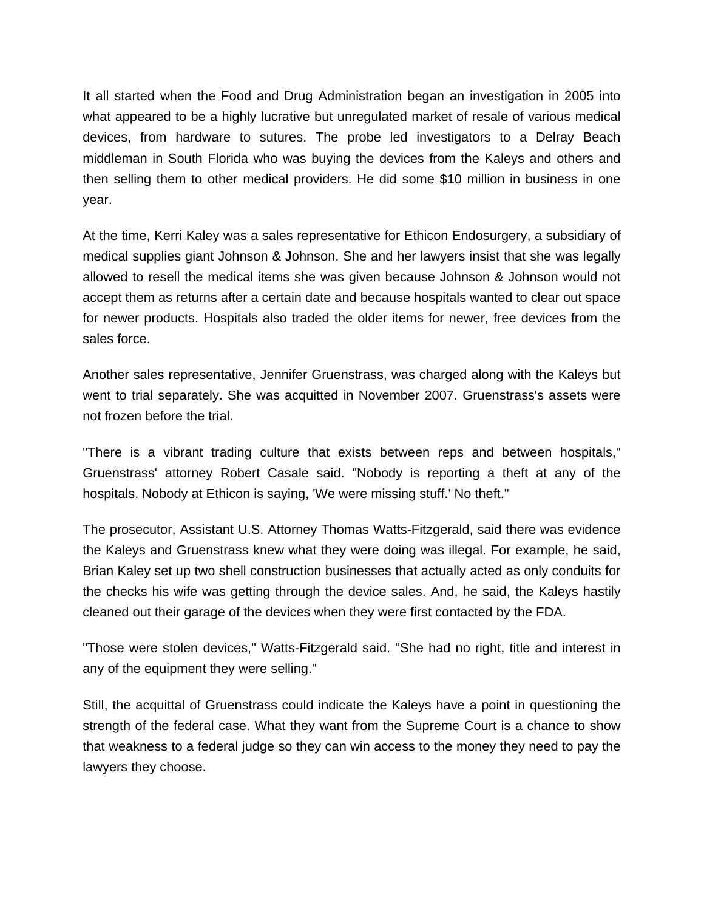It all started when the Food and Drug Administration began an investigation in 2005 into what appeared to be a highly lucrative but unregulated market of resale of various medical devices, from hardware to sutures. The probe led investigators to a Delray Beach middleman in South Florida who was buying the devices from the Kaleys and others and then selling them to other medical providers. He did some \$10 million in business in one year.

At the time, Kerri Kaley was a sales representative for Ethicon Endosurgery, a subsidiary of medical supplies giant Johnson & Johnson. She and her lawyers insist that she was legally allowed to resell the medical items she was given because Johnson & Johnson would not accept them as returns after a certain date and because hospitals wanted to clear out space for newer products. Hospitals also traded the older items for newer, free devices from the sales force.

Another sales representative, Jennifer Gruenstrass, was charged along with the Kaleys but went to trial separately. She was acquitted in November 2007. Gruenstrass's assets were not frozen before the trial.

"There is a vibrant trading culture that exists between reps and between hospitals," Gruenstrass' attorney Robert Casale said. "Nobody is reporting a theft at any of the hospitals. Nobody at Ethicon is saying, 'We were missing stuff.' No theft."

The prosecutor, Assistant U.S. Attorney Thomas Watts-Fitzgerald, said there was evidence the Kaleys and Gruenstrass knew what they were doing was illegal. For example, he said, Brian Kaley set up two shell construction businesses that actually acted as only conduits for the checks his wife was getting through the device sales. And, he said, the Kaleys hastily cleaned out their garage of the devices when they were first contacted by the FDA.

"Those were stolen devices," Watts-Fitzgerald said. "She had no right, title and interest in any of the equipment they were selling."

Still, the acquittal of Gruenstrass could indicate the Kaleys have a point in questioning the strength of the federal case. What they want from the Supreme Court is a chance to show that weakness to a federal judge so they can win access to the money they need to pay the lawyers they choose.